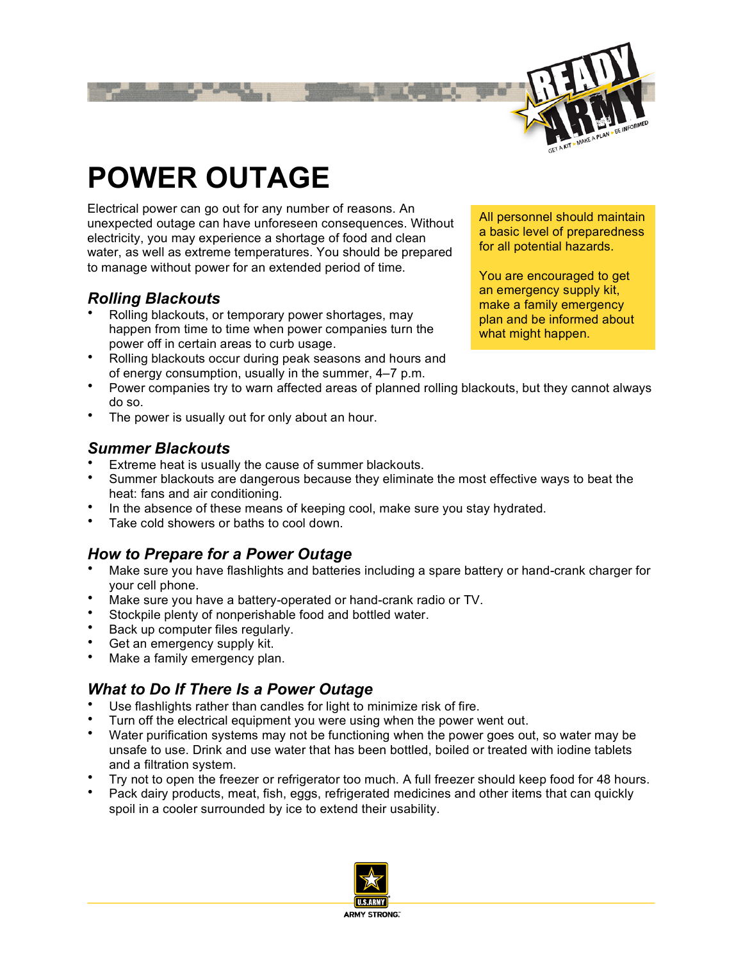

# **POWER OUTAGE**

Electrical power can go out for any number of reasons. An unexpected outage can have unforeseen consequences. Without electricity, you may experience a shortage of food and clean water, as well as extreme temperatures. You should be prepared to manage without power for an extended period of time.

## *Rolling Blackouts*

- Rolling blackouts, or temporary power shortages, may happen from time to time when power companies turn the power off in certain areas to curb usage.
- Rolling blackouts occur during peak seasons and hours and of energy consumption, usually in the summer, 4–7 p.m.
- Power companies try to warn affected areas of planned rolling blackouts, but they cannot always do so.
- The power is usually out for only about an hour.

#### *Summer Blackouts*

- Extreme heat is usually the cause of summer blackouts.
- Summer blackouts are dangerous because they eliminate the most effective ways to beat the heat: fans and air conditioning.
- In the absence of these means of keeping cool, make sure you stay hydrated.
- Take cold showers or baths to cool down.

# *How to Prepare for a Power Outage*

- Make sure you have flashlights and batteries including a spare battery or hand-crank charger for your cell phone.
- Make sure you have a battery-operated or hand-crank radio or TV.
- Stockpile plenty of nonperishable food and bottled water.
- Back up computer files regularly.
- Get an emergency supply kit.
- Make a family emergency plan.

# *What to Do If There Is a Power Outage*

- Use flashlights rather than candles for light to minimize risk of fire.
- Turn off the electrical equipment you were using when the power went out.
- Water purification systems may not be functioning when the power goes out, so water may be unsafe to use. Drink and use water that has been bottled, boiled or treated with iodine tablets and a filtration system.
- Try not to open the freezer or refrigerator too much. A full freezer should keep food for 48 hours.
- Pack dairy products, meat, fish, eggs, refrigerated medicines and other items that can quickly spoil in a cooler surrounded by ice to extend their usability.



All personnel should maintain a basic level of preparedness for all potential hazards.

You are encouraged to get an emergency supply kit, make a family emergency plan and be informed about what might happen.